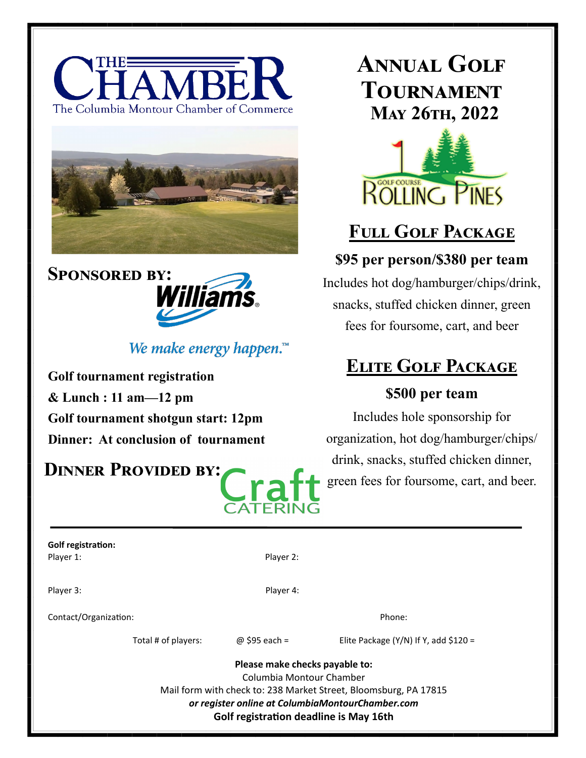





## We make energy happen. $\mathbb{R}^m$

**Golf tournament registration & Lunch : 11 am—12 pm Golf tournament shotgun start: 12pm Dinner: At conclusion of tournament**

## **Dinner Provided by:**

# **Annual Golf Tournament May 26th, 2022**



## **Full Golf Package**

### **\$95 per person/\$380 per team**

Includes hot dog/hamburger/chips/drink, snacks, stuffed chicken dinner, green fees for foursome, cart, and beer

## **Elite Golf Package**

### **\$500 per team**

Includes hole sponsorship for organization, hot dog/hamburger/chips/ drink, snacks, stuffed chicken dinner, green fees for foursome, cart, and beer.

| <b>Golf registration:</b> |  |
|---------------------------|--|
| Player 1:                 |  |

Player 2:

Player 3: Player 4:

Contact/Organization: Phone: Phone: Phone: Phone: Phone: Phone: Phone: Phone: Phone: Phone: Phone: Phone: Phone: Phone: Phone: Phone: Phone: Phone: Phone: Phone: Phone: Phone: Phone: Phone: Phone: Phone: Phone: Phone: Phon

Total # of players:  $\textcircled{a}$  \$95 each = Elite Package (Y/N) If Y, add \$120 =

**Please make checks payable to:** Columbia Montour Chamber Mail form with check to: 238 Market Street, Bloomsburg, PA 17815 *or register online at ColumbiaMontourChamber.com*  **Golf registration deadline is May 16th**